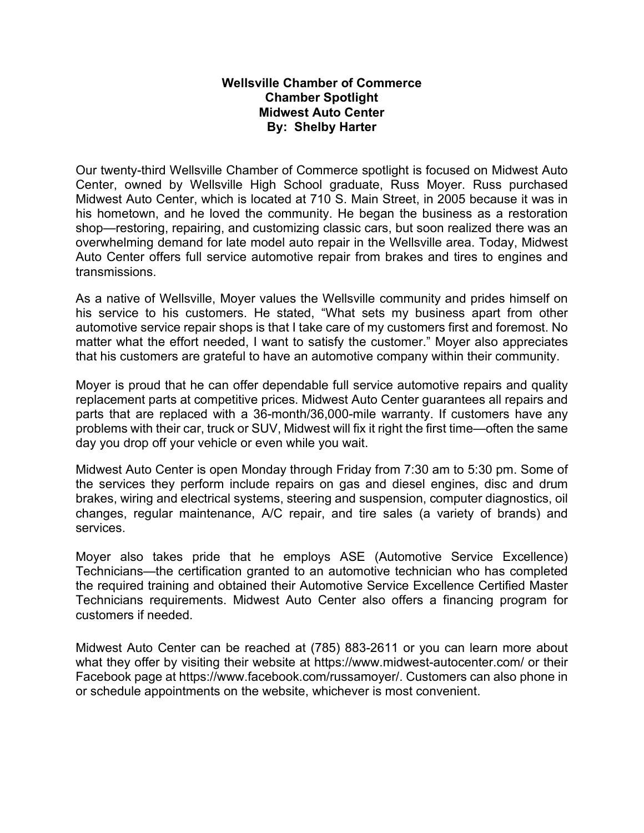## **Wellsville Chamber of Commerce Chamber Spotlight Midwest Auto Center By: Shelby Harter**

Our twenty-third Wellsville Chamber of Commerce spotlight is focused on Midwest Auto Center, owned by Wellsville High School graduate, Russ Moyer. Russ purchased Midwest Auto Center, which is located at 710 S. Main Street, in 2005 because it was in his hometown, and he loved the community. He began the business as a restoration shop—restoring, repairing, and customizing classic cars, but soon realized there was an overwhelming demand for late model auto repair in the Wellsville area. Today, Midwest Auto Center offers full service automotive repair from brakes and tires to engines and transmissions.

As a native of Wellsville, Moyer values the Wellsville community and prides himself on his service to his customers. He stated, "What sets my business apart from other automotive service repair shops is that I take care of my customers first and foremost. No matter what the effort needed, I want to satisfy the customer." Moyer also appreciates that his customers are grateful to have an automotive company within their community.

Moyer is proud that he can offer dependable full service automotive repairs and quality replacement parts at competitive prices. Midwest Auto Center guarantees all repairs and parts that are replaced with a 36-month/36,000-mile warranty. If customers have any problems with their car, truck or SUV, Midwest will fix it right the first time—often the same day you drop off your vehicle or even while you wait.

Midwest Auto Center is open Monday through Friday from 7:30 am to 5:30 pm. Some of the services they perform include repairs on gas and diesel engines, disc and drum brakes, wiring and electrical systems, steering and suspension, computer diagnostics, oil changes, regular maintenance, A/C repair, and tire sales (a variety of brands) and services.

Moyer also takes pride that he employs ASE (Automotive Service Excellence) Technicians—the certification granted to an automotive technician who has completed the required training and obtained their Automotive Service Excellence Certified Master Technicians requirements. Midwest Auto Center also offers a financing program for customers if needed.

Midwest Auto Center can be reached at (785) 883-2611 or you can learn more about what they offer by visiting their website at<https://www.midwest-autocenter.com/> or their Facebook page at https://www.facebook.com/russamoyer/. Customers can also phone in or schedule appointments on the website, whichever is most convenient.